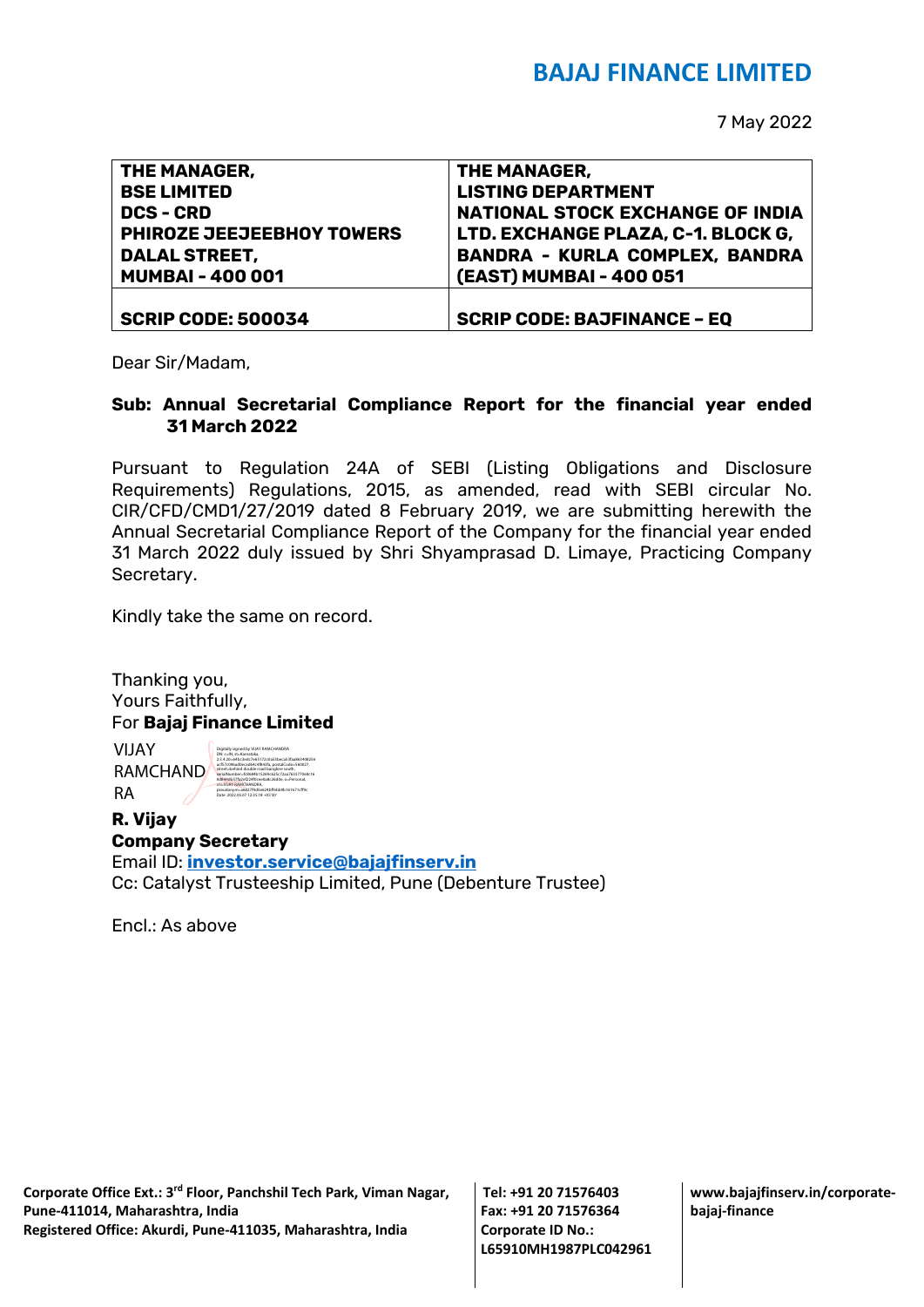# **BAJAJ FINANCE LIMITED**

7 May 2022

| THE MANAGER,              | THE MANAGER,                            |
|---------------------------|-----------------------------------------|
| <b>BSE LIMITED</b>        | <b>LISTING DEPARTMENT</b>               |
| <b>DCS - CRD</b>          | <b>NATIONAL STOCK EXCHANGE OF INDIA</b> |
| PHIROZE JEEJEEBHOY TOWERS | LTD. EXCHANGE PLAZA, C-1. BLOCK G,      |
| <b>DALAL STREET,</b>      | <b>BANDRA - KURLA COMPLEX, BANDRA</b>   |
| <b>MUMBAI-400001</b>      | (EAST) MUMBAI - 400 051                 |
|                           |                                         |
| <b>SCRIP CODE: 500034</b> | <b>SCRIP CODE: BAJFINANCE - EQ</b>      |

Dear Sir/Madam,

### **Sub: Annual Secretarial Compliance Report for the financial year ended 31 March 2022**

Pursuant to Regulation 24A of SEBI (Listing Obligations and Disclosure Requirements) Regulations, 2015, as amended, read with SEBI circular No. CIR/CFD/CMD1/27/2019 dated 8 February 2019, we are submitting herewith the Annual Secretarial Compliance Report of the Company for the financial year ended 31 March 2022 duly issued by Shri Shyamprasad D. Limaye, Practicing Company Secretary.

Kindly take the same on record.

Thanking you, Yours Faithfully, For **Bajaj Finance Limited**

VIJAY RAMCHAND RA

Digitally signed by VIJAY RAMCHANDRA DN: c=IN, st=Karnataka, 2.5.4.20=64bc3edc7e65172c0a53beca53faa863408256 acf57c096ad0ecad64c4f843fa, postalCode=560027, street=behind double road banglore south, serialNumber=fc8684b15269c625c72aa7633770e8c16 0d844db57fa2ef224f0cee0a8c26d0e, o=Personal, cn=VIJAY RAMCHANDRA, pseudonym=a6027f4d5e624bffebb9b161671cff9c Date: 2022.05.07 12:35:18 +05'30'

#### **R. Vijay Company Secretary**

Email ID: **[investor.service@bajajfinserv.in](mailto:investor.service@bajajfinserv.in)** Cc: Catalyst Trusteeship Limited, Pune (Debenture Trustee)

Encl.: As above

**Tel: +91 20 71576403 Fax: +91 20 71576364 Corporate ID No.: L65910MH1987PLC042961** **www.bajajfinserv.in/corporatebajaj-finance**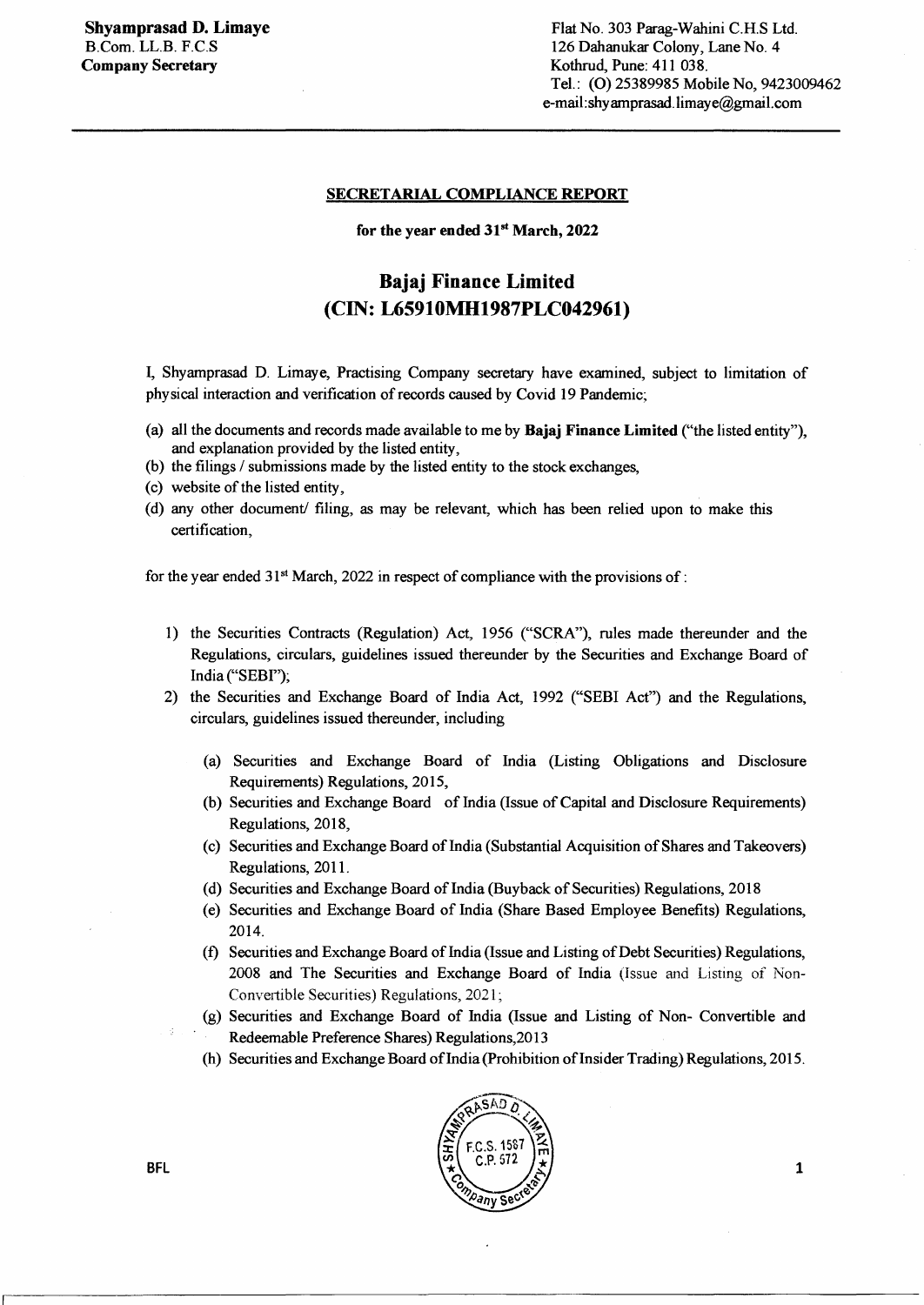#### SECRETARIAL COMPLIANCE REPORT

#### for the year ended  $31<sup>st</sup>$  March, 2022

## Bajaj Finance Limited (CIN: L65910MH1987PLC042961)

I, Shyamprasad D. Limaye, Practising Company secretary have examined, subject to limitation of physical interaction and verification of records caused by Covid 19 Pandemic;

- (a) all the documents and records made available to me by Bajaj Finance Limited ("the listed entity"), and explanation provided by the listed entity,
- (b) the filings / submissions made by the listed entity to the stock exchanges,
- ( c) website of the listed entity,
- ( d) any other document/ filing, as may be relevant, which has been relied upon to make this certification,

for the year ended  $31<sup>st</sup>$  March, 2022 in respect of compliance with the provisions of:

- 1) the Securities Contracts (Regulation) Act, 1956 ("SCRA"), rules made thereunder and the Regulations, circulars, guidelines issued thereunder by the Securities and Exchange Board of India ("SEBI");
- 2) the Securities and Exchange Board of India Act, 1992 ("SEBI Act") and the Regulations, circulars, guidelines issued thereunder, including
	- (a) Securities and Exchange Board of India (Listing Obligations and Disclosure Requirements) Regulations, 2015,
	- (b) Securities and Exchange Board of India (Issue of Capital and Disclosure Requirements) Regulations, 2018,
	- (c) Securities and Exchange Board of India (Substantial Acquisition of Shares and Takeovers) Regulations, 2011.
	- (d) Securities and Exchange Board of India (Buyback of Securities) Regulations, 2018
	- (e) Securities and Exchange Board of India (Share Based Employee Benefits) Regulations, 2014.
	- (f) Securities and Exchange Board of India (Issue and Listing of Debt Securities) Regulations, 2008 and The Securities and Exchange Board of India (Issue and Listing of Non-Convertible Securities) Regulations, 2021;
	- (g) Securities and Exchange Board of India (Issue and Listing of Non- Convertible and Redeemable Preference Shares) Regulations,2013
	- (h) Securities and Exchange Board of India (Prohibition of Insider Trading) Regulations, 2015.